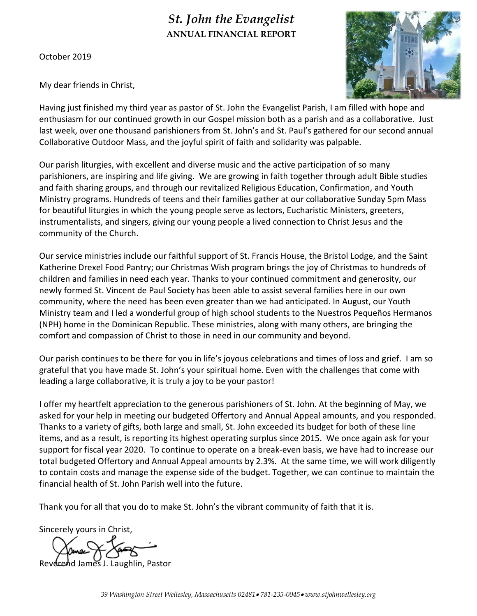# *St. John the Evangelist* **ANNUAL FINANCIAL REPORT**

October 2019



My dear friends in Christ,

Having just finished my third year as pastor of St. John the Evangelist Parish, I am filled with hope and enthusiasm for our continued growth in our Gospel mission both as a parish and as a collaborative. Just last week, over one thousand parishioners from St. John's and St. Paul's gathered for our second annual Collaborative Outdoor Mass, and the joyful spirit of faith and solidarity was palpable.

Our parish liturgies, with excellent and diverse music and the active participation of so many parishioners, are inspiring and life giving. We are growing in faith together through adult Bible studies and faith sharing groups, and through our revitalized Religious Education, Confirmation, and Youth Ministry programs. Hundreds of teens and their families gather at our collaborative Sunday 5pm Mass for beautiful liturgies in which the young people serve as lectors, Eucharistic Ministers, greeters, instrumentalists, and singers, giving our young people a lived connection to Christ Jesus and the community of the Church.

Our service ministries include our faithful support of St. Francis House, the Bristol Lodge, and the Saint Katherine Drexel Food Pantry; our Christmas Wish program brings the joy of Christmas to hundreds of children and families in need each year. Thanks to your continued commitment and generosity, our newly formed St. Vincent de Paul Society has been able to assist several families here in our own community, where the need has been even greater than we had anticipated. In August, our Youth Ministry team and I led a wonderful group of high school students to the Nuestros Pequeños Hermanos (NPH) home in the Dominican Republic. These ministries, along with many others, are bringing the comfort and compassion of Christ to those in need in our community and beyond.

Our parish continues to be there for you in life's joyous celebrations and times of loss and grief. I am so grateful that you have made St. John's your spiritual home. Even with the challenges that come with leading a large collaborative, it is truly a joy to be your pastor!

I offer my heartfelt appreciation to the generous parishioners of St. John. At the beginning of May, we asked for your help in meeting our budgeted Offertory and Annual Appeal amounts, and you responded. Thanks to a variety of gifts, both large and small, St. John exceeded its budget for both of these line items, and as a result, is reporting its highest operating surplus since 2015. We once again ask for your support for fiscal year 2020. To continue to operate on a break-even basis, we have had to increase our total budgeted Offertory and Annual Appeal amounts by 2.3%. At the same time, we will work diligently to contain costs and manage the expense side of the budget. Together, we can continue to maintain the financial health of St. John Parish well into the future.

Thank you for all that you do to make St. John's the vibrant community of faith that it is.

Sincerely yours in Christ,

James J. Laughlin, Pastor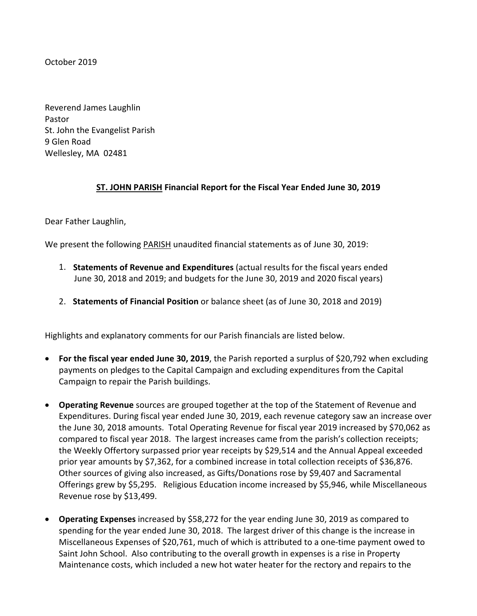October 2019

Reverend James Laughlin Pastor St. John the Evangelist Parish 9 Glen Road Wellesley, MA 02481

# **ST. JOHN PARISH Financial Report for the Fiscal Year Ended June 30, 2019**

Dear Father Laughlin,

We present the following PARISH unaudited financial statements as of June 30, 2019:

- 1. **Statements of Revenue and Expenditures** (actual results for the fiscal years ended June 30, 2018 and 2019; and budgets for the June 30, 2019 and 2020 fiscal years)
- 2. **Statements of Financial Position** or balance sheet (as of June 30, 2018 and 2019)

Highlights and explanatory comments for our Parish financials are listed below.

- **For the fiscal year ended June 30, 2019**, the Parish reported a surplus of \$20,792 when excluding payments on pledges to the Capital Campaign and excluding expenditures from the Capital Campaign to repair the Parish buildings.
- **Operating Revenue** sources are grouped together at the top of the Statement of Revenue and Expenditures. During fiscal year ended June 30, 2019, each revenue category saw an increase over the June 30, 2018 amounts. Total Operating Revenue for fiscal year 2019 increased by \$70,062 as compared to fiscal year 2018. The largest increases came from the parish's collection receipts; the Weekly Offertory surpassed prior year receipts by \$29,514 and the Annual Appeal exceeded prior year amounts by \$7,362, for a combined increase in total collection receipts of \$36,876. Other sources of giving also increased, as Gifts/Donations rose by \$9,407 and Sacramental Offerings grew by \$5,295. Religious Education income increased by \$5,946, while Miscellaneous Revenue rose by \$13,499.
- **Operating Expenses** increased by \$58,272 for the year ending June 30, 2019 as compared to spending for the year ended June 30, 2018. The largest driver of this change is the increase in Miscellaneous Expenses of \$20,761, much of which is attributed to a one-time payment owed to Saint John School. Also contributing to the overall growth in expenses is a rise in Property Maintenance costs, which included a new hot water heater for the rectory and repairs to the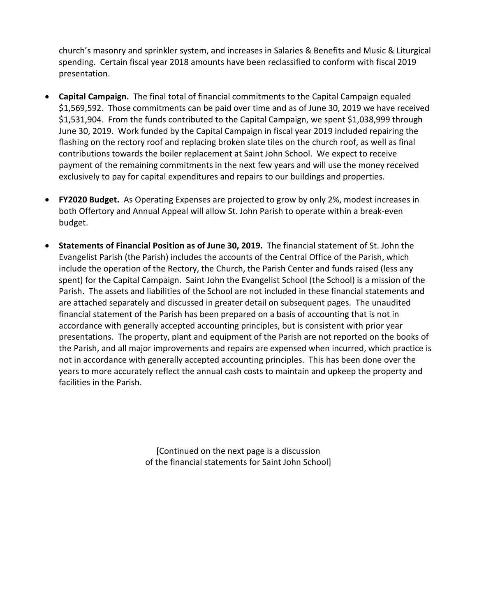church's masonry and sprinkler system, and increases in Salaries & Benefits and Music & Liturgical spending. Certain fiscal year 2018 amounts have been reclassified to conform with fiscal 2019 presentation.

- **Capital Campaign.** The final total of financial commitments to the Capital Campaign equaled \$1,569,592. Those commitments can be paid over time and as of June 30, 2019 we have received \$1,531,904. From the funds contributed to the Capital Campaign, we spent \$1,038,999 through June 30, 2019. Work funded by the Capital Campaign in fiscal year 2019 included repairing the flashing on the rectory roof and replacing broken slate tiles on the church roof, as well as final contributions towards the boiler replacement at Saint John School. We expect to receive payment of the remaining commitments in the next few years and will use the money received exclusively to pay for capital expenditures and repairs to our buildings and properties.
- **FY2020 Budget.** As Operating Expenses are projected to grow by only 2%, modest increases in both Offertory and Annual Appeal will allow St. John Parish to operate within a break-even budget.
- **Statements of Financial Position as of June 30, 2019.** The financial statement of St. John the Evangelist Parish (the Parish) includes the accounts of the Central Office of the Parish, which include the operation of the Rectory, the Church, the Parish Center and funds raised (less any spent) for the Capital Campaign. Saint John the Evangelist School (the School) is a mission of the Parish. The assets and liabilities of the School are not included in these financial statements and are attached separately and discussed in greater detail on subsequent pages. The unaudited financial statement of the Parish has been prepared on a basis of accounting that is not in accordance with generally accepted accounting principles, but is consistent with prior year presentations. The property, plant and equipment of the Parish are not reported on the books of the Parish, and all major improvements and repairs are expensed when incurred, which practice is not in accordance with generally accepted accounting principles. This has been done over the years to more accurately reflect the annual cash costs to maintain and upkeep the property and facilities in the Parish.

[Continued on the next page is a discussion of the financial statements for Saint John School]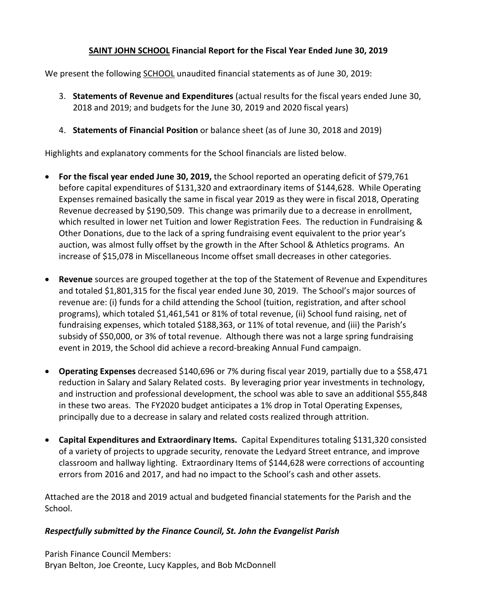# **SAINT JOHN SCHOOL Financial Report for the Fiscal Year Ended June 30, 2019**

We present the following SCHOOL unaudited financial statements as of June 30, 2019:

- 3. **Statements of Revenue and Expenditures** (actual results for the fiscal years ended June 30, 2018 and 2019; and budgets for the June 30, 2019 and 2020 fiscal years)
- 4. **Statements of Financial Position** or balance sheet (as of June 30, 2018 and 2019)

Highlights and explanatory comments for the School financials are listed below.

- **For the fiscal year ended June 30, 2019,** the School reported an operating deficit of \$79,761 before capital expenditures of \$131,320 and extraordinary items of \$144,628. While Operating Expenses remained basically the same in fiscal year 2019 as they were in fiscal 2018, Operating Revenue decreased by \$190,509. This change was primarily due to a decrease in enrollment, which resulted in lower net Tuition and lower Registration Fees. The reduction in Fundraising & Other Donations, due to the lack of a spring fundraising event equivalent to the prior year's auction, was almost fully offset by the growth in the After School & Athletics programs. An increase of \$15,078 in Miscellaneous Income offset small decreases in other categories.
- **Revenue** sources are grouped together at the top of the Statement of Revenue and Expenditures and totaled \$1,801,315 for the fiscal year ended June 30, 2019. The School's major sources of revenue are: (i) funds for a child attending the School (tuition, registration, and after school programs), which totaled \$1,461,541 or 81% of total revenue, (ii) School fund raising, net of fundraising expenses, which totaled \$188,363, or 11% of total revenue, and (iii) the Parish's subsidy of \$50,000, or 3% of total revenue. Although there was not a large spring fundraising event in 2019, the School did achieve a record-breaking Annual Fund campaign.
- **Operating Expenses** decreased \$140,696 or 7% during fiscal year 2019, partially due to a \$58,471 reduction in Salary and Salary Related costs. By leveraging prior year investments in technology, and instruction and professional development, the school was able to save an additional \$55,848 in these two areas. The FY2020 budget anticipates a 1% drop in Total Operating Expenses, principally due to a decrease in salary and related costs realized through attrition.
- **Capital Expenditures and Extraordinary Items.** Capital Expenditures totaling \$131,320 consisted of a variety of projects to upgrade security, renovate the Ledyard Street entrance, and improve classroom and hallway lighting. Extraordinary Items of \$144,628 were corrections of accounting errors from 2016 and 2017, and had no impact to the School's cash and other assets.

Attached are the 2018 and 2019 actual and budgeted financial statements for the Parish and the School.

# *Respectfully submitted by the Finance Council, St. John the Evangelist Parish*

Parish Finance Council Members: Bryan Belton, Joe Creonte, Lucy Kapples, and Bob McDonnell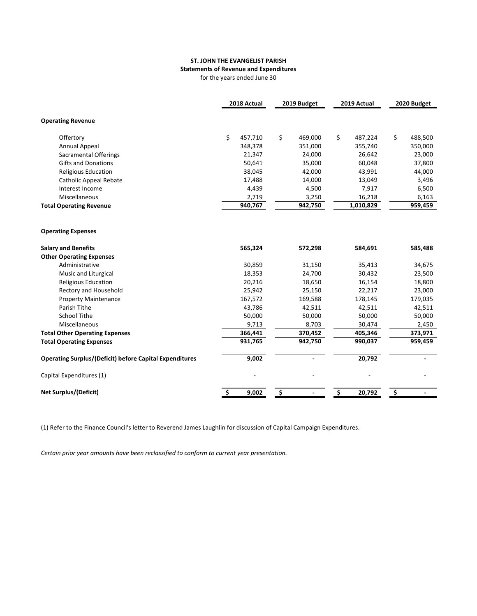#### **ST. JOHN THE EVANGELIST PARISH Statements of Revenue and Expenditures**

for the years ended June 30

|                                                                | 2018 Actual   | 2019 Budget          | 2019 Actual   | 2020 Budget   |
|----------------------------------------------------------------|---------------|----------------------|---------------|---------------|
| <b>Operating Revenue</b>                                       |               |                      |               |               |
| Offertory                                                      | \$<br>457,710 | \$<br>469,000        | \$<br>487,224 | \$<br>488,500 |
| <b>Annual Appeal</b>                                           | 348,378       | 351,000              | 355,740       | 350,000       |
| Sacramental Offerings                                          | 21,347        | 24,000               | 26,642        | 23,000        |
| <b>Gifts and Donations</b>                                     | 50,641        | 35,000               | 60,048        | 37,800        |
| Religious Education                                            | 38,045        | 42,000               | 43,991        | 44,000        |
| <b>Catholic Appeal Rebate</b>                                  | 17,488        | 14,000               | 13,049        | 3,496         |
| Interest Income                                                | 4,439         | 4,500                | 7,917         | 6,500         |
| Miscellaneous                                                  | 2,719         | 3,250                | 16,218        | 6,163         |
| <b>Total Operating Revenue</b>                                 | 940,767       | 942,750              | 1,010,829     | 959,459       |
|                                                                |               |                      |               |               |
| <b>Operating Expenses</b>                                      |               |                      |               |               |
| <b>Salary and Benefits</b>                                     | 565,324       | 572,298              | 584,691       | 585,488       |
| <b>Other Operating Expenses</b>                                |               |                      |               |               |
| Administrative                                                 | 30,859        | 31,150               | 35,413        | 34,675        |
| Music and Liturgical                                           | 18,353        | 24,700               | 30,432        | 23,500        |
| <b>Religious Education</b>                                     | 20,216        | 18,650               | 16,154        | 18,800        |
| Rectory and Household                                          | 25,942        | 25,150               | 22,217        | 23,000        |
| <b>Property Maintenance</b>                                    | 167,572       | 169,588              | 178,145       | 179,035       |
| Parish Tithe                                                   | 43,786        | 42,511               | 42,511        | 42,511        |
| <b>School Tithe</b>                                            | 50,000        | 50,000               | 50,000        | 50,000        |
| Miscellaneous                                                  | 9,713         | 8,703                | 30,474        | 2,450         |
| <b>Total Other Operating Expenses</b>                          | 366,441       | 370,452              | 405,346       | 373,971       |
| <b>Total Operating Expenses</b>                                | 931,765       | 942,750              | 990,037       | 959,459       |
| <b>Operating Surplus/(Deficit) before Capital Expenditures</b> | 9,002         |                      | 20,792        |               |
| Capital Expenditures (1)                                       |               |                      |               |               |
| <b>Net Surplus/(Deficit)</b>                                   | \$<br>9,002   | \$<br>$\overline{a}$ | \$<br>20,792  | \$            |

(1) Refer to the Finance Council's letter to Reverend James Laughlin for discussion of Capital Campaign Expenditures.

*Certain prior year amounts have been reclassified to conform to current year presentation.*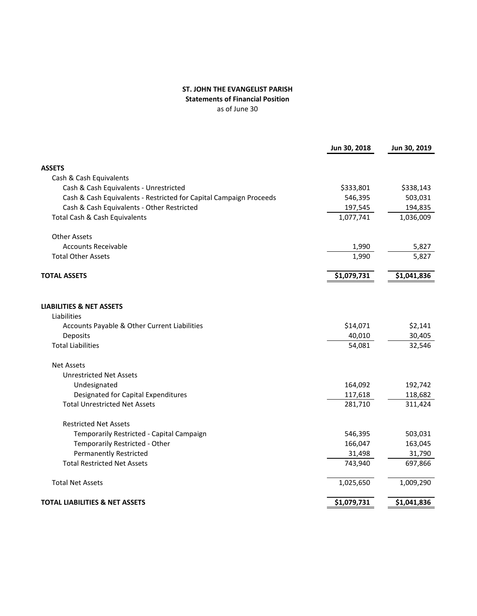#### **ST. JOHN THE EVANGELIST PARISH Statements of Financial Position** as of June 30

|                                                                    | Jun 30, 2018 | Jun 30, 2019 |
|--------------------------------------------------------------------|--------------|--------------|
| <b>ASSETS</b>                                                      |              |              |
| Cash & Cash Equivalents                                            |              |              |
| Cash & Cash Equivalents - Unrestricted                             | \$333,801    | \$338,143    |
| Cash & Cash Equivalents - Restricted for Capital Campaign Proceeds | 546,395      | 503,031      |
| Cash & Cash Equivalents - Other Restricted                         | 197,545      | 194,835      |
| Total Cash & Cash Equivalents                                      | 1,077,741    | 1,036,009    |
| <b>Other Assets</b>                                                |              |              |
| <b>Accounts Receivable</b>                                         | 1,990        | 5,827        |
| <b>Total Other Assets</b>                                          | 1,990        | 5,827        |
| <b>TOTAL ASSETS</b>                                                | \$1,079,731  | \$1,041,836  |
| <b>LIABILITIES &amp; NET ASSETS</b>                                |              |              |
| Liabilities                                                        |              |              |
| Accounts Payable & Other Current Liabilities                       | \$14,071     | \$2,141      |
| Deposits                                                           | 40,010       | 30,405       |
| <b>Total Liabilities</b>                                           | 54,081       | 32,546       |
| <b>Net Assets</b>                                                  |              |              |
| <b>Unrestricted Net Assets</b>                                     |              |              |
| Undesignated                                                       | 164,092      | 192,742      |
| Designated for Capital Expenditures                                | 117,618      | 118,682      |
| <b>Total Unrestricted Net Assets</b>                               | 281,710      | 311,424      |
| <b>Restricted Net Assets</b>                                       |              |              |
| Temporarily Restricted - Capital Campaign                          | 546,395      | 503,031      |
| Temporarily Restricted - Other                                     | 166,047      | 163,045      |
| <b>Permanently Restricted</b>                                      | 31,498       | 31,790       |
| <b>Total Restricted Net Assets</b>                                 | 743,940      | 697,866      |
| <b>Total Net Assets</b>                                            | 1,025,650    | 1,009,290    |
| <b>TOTAL LIABILITIES &amp; NET ASSETS</b>                          | \$1,079,731  | \$1,041,836  |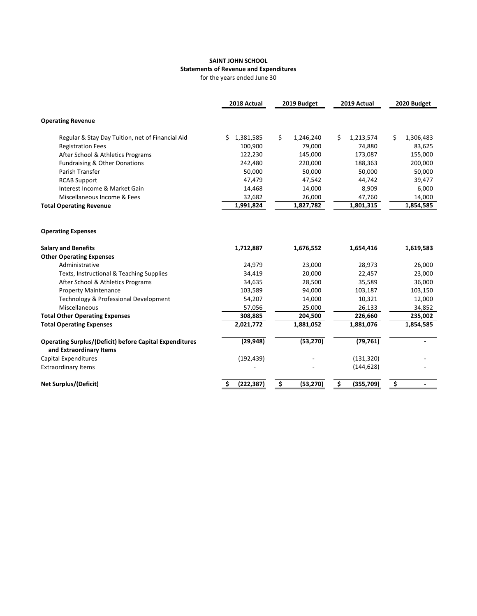## **SAINT JOHN SCHOOL Statements of Revenue and Expenditures**

for the years ended June 30

|                                                                                           | 2018 Actual      | 2019 Budget     | 2019 Actual     | 2020 Budget     |
|-------------------------------------------------------------------------------------------|------------------|-----------------|-----------------|-----------------|
| <b>Operating Revenue</b>                                                                  |                  |                 |                 |                 |
| Regular & Stay Day Tuition, net of Financial Aid                                          | Ś.<br>1,381,585  | Ś<br>1,246,240  | Ś.<br>1,213,574 | Ś.<br>1,306,483 |
| <b>Registration Fees</b>                                                                  | 100,900          | 79,000          | 74,880          | 83,625          |
| After School & Athletics Programs                                                         | 122,230          | 145,000         | 173,087         | 155,000         |
| Fundraising & Other Donations                                                             | 242,480          | 220,000         | 188,363         | 200,000         |
| Parish Transfer                                                                           | 50,000           | 50,000          | 50,000          | 50,000          |
| <b>RCAB Support</b>                                                                       | 47,479           | 47,542          | 44,742          | 39,477          |
| Interest Income & Market Gain                                                             | 14,468           | 14,000          | 8,909           | 6,000           |
| Miscellaneous Income & Fees                                                               | 32,682           | 26,000          | 47,760          | 14,000          |
| <b>Total Operating Revenue</b>                                                            | 1,991,824        | 1,827,782       | 1,801,315       | 1,854,585       |
| <b>Operating Expenses</b>                                                                 |                  |                 |                 |                 |
| <b>Salary and Benefits</b>                                                                | 1,712,887        | 1,676,552       | 1,654,416       | 1,619,583       |
| <b>Other Operating Expenses</b>                                                           |                  |                 |                 |                 |
| Administrative                                                                            | 24,979           | 23,000          | 28,973          | 26,000          |
| Texts, Instructional & Teaching Supplies                                                  | 34,419           | 20,000          | 22,457          | 23,000          |
| After School & Athletics Programs                                                         | 34,635           | 28,500          | 35,589          | 36,000          |
| <b>Property Maintenance</b>                                                               | 103,589          | 94,000          | 103,187         | 103,150         |
| Technology & Professional Development                                                     | 54,207           | 14,000          | 10,321          | 12,000          |
| Miscellaneous                                                                             | 57,056           | 25,000          | 26,133          | 34,852          |
| <b>Total Other Operating Expenses</b>                                                     | 308,885          | 204,500         | 226,660         | 235,002         |
| <b>Total Operating Expenses</b>                                                           | 2,021,772        | 1,881,052       | 1,881,076       | 1,854,585       |
| <b>Operating Surplus/(Deficit) before Capital Expenditures</b><br>and Extraordinary Items | (29, 948)        | (53, 270)       | (79, 761)       |                 |
| Capital Expenditures                                                                      | (192, 439)       |                 | (131, 320)      |                 |
| <b>Extraordinary Items</b>                                                                |                  |                 | (144, 628)      |                 |
| <b>Net Surplus/(Deficit)</b>                                                              | (222, 387)<br>\$ | \$<br>(53, 270) | \$<br>(355,709) | \$              |